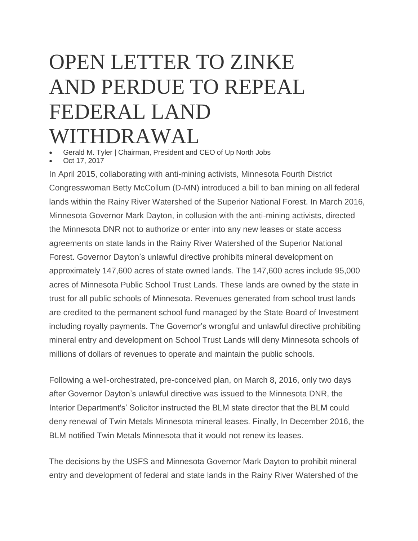## OPEN LETTER TO ZINKE AND PERDUE TO REPEAL FEDERAL LAND WITHDRAWAL

Gerald M. Tyler | Chairman, President and CEO of Up North Jobs

Oct 17, 2017

In April 2015, collaborating with anti-mining activists, Minnesota Fourth District Congresswoman Betty McCollum (D-MN) introduced a bill to ban mining on all federal lands within the Rainy River Watershed of the Superior National Forest. In March 2016, Minnesota Governor Mark Dayton, in collusion with the anti-mining activists, directed the Minnesota DNR not to authorize or enter into any new leases or state access agreements on state lands in the Rainy River Watershed of the Superior National Forest. Governor Dayton's unlawful directive prohibits mineral development on approximately 147,600 acres of state owned lands. The 147,600 acres include 95,000 acres of Minnesota Public School Trust Lands. These lands are owned by the state in trust for all public schools of Minnesota. Revenues generated from school trust lands are credited to the permanent school fund managed by the State Board of Investment including royalty payments. The Governor's wrongful and unlawful directive prohibiting mineral entry and development on School Trust Lands will deny Minnesota schools of millions of dollars of revenues to operate and maintain the public schools.

Following a well-orchestrated, pre-conceived plan, on March 8, 2016, only two days after Governor Dayton's unlawful directive was issued to the Minnesota DNR, the Interior Department's' Solicitor instructed the BLM state director that the BLM could deny renewal of Twin Metals Minnesota mineral leases. Finally, In December 2016, the BLM notified Twin Metals Minnesota that it would not renew its leases.

The decisions by the USFS and Minnesota Governor Mark Dayton to prohibit mineral entry and development of federal and state lands in the Rainy River Watershed of the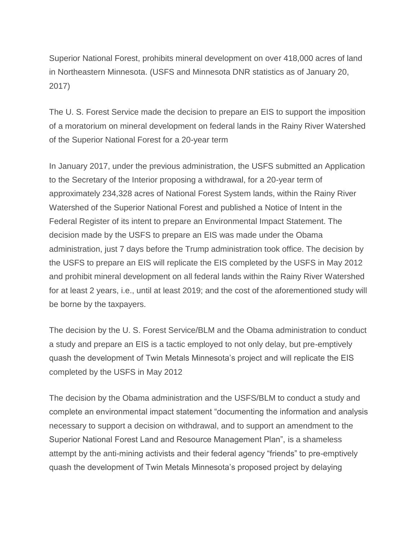Superior National Forest, prohibits mineral development on over 418,000 acres of land in Northeastern Minnesota. (USFS and Minnesota DNR statistics as of January 20, 2017)

The U. S. Forest Service made the decision to prepare an EIS to support the imposition of a moratorium on mineral development on federal lands in the Rainy River Watershed of the Superior National Forest for a 20-year term

In January 2017, under the previous administration, the USFS submitted an Application to the Secretary of the Interior proposing a withdrawal, for a 20-year term of approximately 234,328 acres of National Forest System lands, within the Rainy River Watershed of the Superior National Forest and published a Notice of Intent in the Federal Register of its intent to prepare an Environmental Impact Statement. The decision made by the USFS to prepare an EIS was made under the Obama administration, just 7 days before the Trump administration took office. The decision by the USFS to prepare an EIS will replicate the EIS completed by the USFS in May 2012 and prohibit mineral development on all federal lands within the Rainy River Watershed for at least 2 years, i.e., until at least 2019; and the cost of the aforementioned study will be borne by the taxpayers.

The decision by the U. S. Forest Service/BLM and the Obama administration to conduct a study and prepare an EIS is a tactic employed to not only delay, but pre-emptively quash the development of Twin Metals Minnesota's project and will replicate the EIS completed by the USFS in May 2012

The decision by the Obama administration and the USFS/BLM to conduct a study and complete an environmental impact statement "documenting the information and analysis necessary to support a decision on withdrawal, and to support an amendment to the Superior National Forest Land and Resource Management Plan", is a shameless attempt by the anti-mining activists and their federal agency "friends" to pre-emptively quash the development of Twin Metals Minnesota's proposed project by delaying